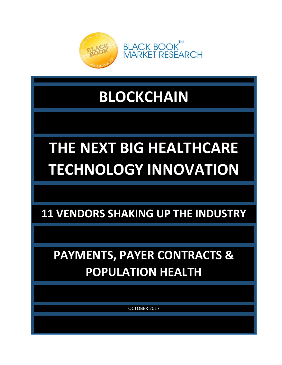

## **BLOCKCHAIN**

# **THE NEXT BIG HEALTHCARE TECHNOLOGY INNOVATION**

**11 VENDORS SHAKING UP THE INDUSTRY**

## **PAYMENTS, PAYER CONTRACTS & POPULATION HEALTH**

OCTOBER 2017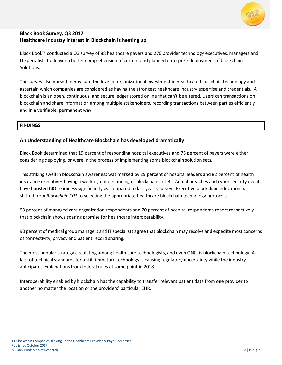

#### **Black Book Survey, Q3 2017 Healthcare Industry interest in Blockchain is heating up**

Black Book™ conducted a Q3 survey of 88 healthcare payers and 276 provider technology executives, managers and IT specialists to deliver a better comprehension of current and planned enterprise deployment of blockchain Solutions.

The survey also pursed to measure the level of organizational investment in healthcare blockchain technology and ascertain which companies are considered as having the strongest healthcare industry expertise and credentials. A blockchain is an open, continuous, and secure ledger stored online that can't be altered. Users can transactions on blockchain and share information among multiple stakeholders, recording transactions between parties efficiently and in a verifiable, permanent way.

#### **FINDINGS**

#### **An Understanding of Healthcare Blockchain has developed dramatically**

Black Book determined that 19 percent of responding hospital executives and 76 percent of payers were either considering deploying, or were in the process of implementing some blockchain solution sets.

This striking swell in blockchain awareness was marked by 29 percent of hospital leaders and 82 percent of health insurance executives having a working understanding of blockchain in Q3. Actual breaches and cyber security events have boosted CIO readiness significantly as compared to last year's survey. Executive blockchain education has shifted from *Blockchain 101* to selecting the appropriate healthcare blockchain technology protocols.

93 percent of managed care organization respondents and 70 percent of hospital respondents report respectively that blockchain shows soaring promise for healthcare interoperability.

90 percent of medical group managers and IT specialists agree that blockchain may resolve and expedite most concerns of connectivity, privacy and patient record sharing.

The most popular strategy circulating among health care technologists, and even ONC, is blockchain technology. A lack of technical standards for a still-immature technology is causing regulatory uncertainty while the industry anticipates explanations from federal rules at some point in 2018.

Interoperability enabled by blockchain has the capability to transfer relevant patient data from one provider to another no matter the location or the providers' particular EHR.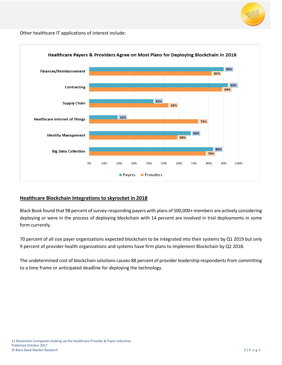

Other healthcare IT applications of interest include:



#### **Healthcare Blockchain Integrations to skyrocket in 2018**

Black Book found that 98 percent of survey-responding payers with plans of 500,000+ members are actively considering deploying or were in the process of deploying blockchain with 14 percent are involved in trial deployments in some form currently.

70 percent of all size payer organizations expected blockchain to be integrated into their systems by Q1 2019 but only 9 percent of provider health organizations and systems have firm plans to implement Blockchain by Q2 2018.

The undetermined cost of blockchain solutions causes 88 percent of provider leadership respondents from committing to a time frame or anticipated deadline for deploying the technology.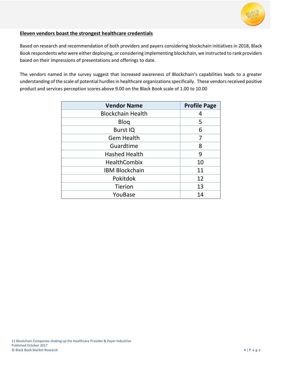

#### **Eleven vendors boast the strongest healthcare credentials**

Based on research and recommendation of both providers and payers considering blockchain initiatives in 2018, Black Book respondents who were either deploying, or considering implementing blockchain, we instructed to rank providers based on their impressions of presentations and offerings to date.

The vendors named in the survey suggest that increased awareness of Blockchain's capabilities leads to a greater understanding of the scale of potential hurdles in healthcare organizations specifically. These vendors received positive product and services perception scores above 9.00 on the Black Book scale of 1.00 to 10.00

| <b>Vendor Name</b>       | <b>Profile Page</b> |
|--------------------------|---------------------|
| <b>Blockchain Health</b> | 4                   |
| <b>Blog</b>              | 5                   |
| <b>Burst IQ</b>          | 6                   |
| <b>Gem Health</b>        | 7                   |
| Guardtime                | 8                   |
| <b>Hashed Health</b>     | 9                   |
| <b>HealthCombix</b>      | 10                  |
| <b>IBM Blockchain</b>    | 11                  |
| Pokitdok                 | 12                  |
| <b>Tierion</b>           | 13                  |
| YouBase                  | 14                  |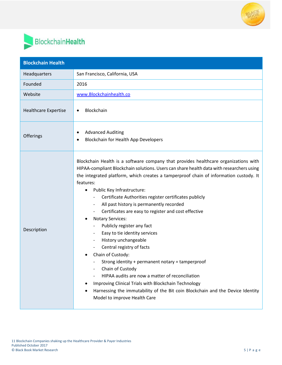

## BlockchainHealth

| <b>Blockchain Health</b>    |                                                                                                                                                                                                                                                                                                                                                                                                                                                                                                                                                                                                                                                                                                                                                                                                                                                                                                                                                                                        |
|-----------------------------|----------------------------------------------------------------------------------------------------------------------------------------------------------------------------------------------------------------------------------------------------------------------------------------------------------------------------------------------------------------------------------------------------------------------------------------------------------------------------------------------------------------------------------------------------------------------------------------------------------------------------------------------------------------------------------------------------------------------------------------------------------------------------------------------------------------------------------------------------------------------------------------------------------------------------------------------------------------------------------------|
| Headquarters                | San Francisco, California, USA                                                                                                                                                                                                                                                                                                                                                                                                                                                                                                                                                                                                                                                                                                                                                                                                                                                                                                                                                         |
| Founded                     | 2016                                                                                                                                                                                                                                                                                                                                                                                                                                                                                                                                                                                                                                                                                                                                                                                                                                                                                                                                                                                   |
| Website                     | www.Blockchainhealth.co                                                                                                                                                                                                                                                                                                                                                                                                                                                                                                                                                                                                                                                                                                                                                                                                                                                                                                                                                                |
| <b>Healthcare Expertise</b> | Blockchain<br>$\bullet$                                                                                                                                                                                                                                                                                                                                                                                                                                                                                                                                                                                                                                                                                                                                                                                                                                                                                                                                                                |
| Offerings                   | <b>Advanced Auditing</b><br><b>Blockchain for Health App Developers</b>                                                                                                                                                                                                                                                                                                                                                                                                                                                                                                                                                                                                                                                                                                                                                                                                                                                                                                                |
| Description                 | Blockchain Health is a software company that provides healthcare organizations with<br>HIPAA-compliant Blockchain solutions. Users can share health data with researchers using<br>the integrated platform, which creates a tamperproof chain of information custody. It<br>features:<br>Public Key Infrastructure:<br>$\bullet$<br>Certificate Authorities register certificates publicly<br>All past history is permanently recorded<br>Certificates are easy to register and cost effective<br><b>Notary Services:</b><br>٠<br>Publicly register any fact<br>Easy to tie identity services<br>History unchangeable<br>Central registry of facts<br>Chain of Custody:<br>Strong identity + permanent notary = tamperproof<br>Chain of Custody<br>HIPAA audits are now a matter of reconciliation<br>Improving Clinical Trials with Blockchain Technology<br>٠<br>Harnessing the immutability of the Bit coin Blockchain and the Device Identity<br>٠<br>Model to improve Health Care |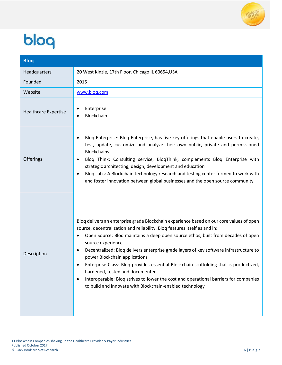

# bloq

| <b>Bloq</b>                 |                                                                                                                                                                                                                                                                                                                                                                                                                                                                                                                                                                                                                                                                                                        |
|-----------------------------|--------------------------------------------------------------------------------------------------------------------------------------------------------------------------------------------------------------------------------------------------------------------------------------------------------------------------------------------------------------------------------------------------------------------------------------------------------------------------------------------------------------------------------------------------------------------------------------------------------------------------------------------------------------------------------------------------------|
| Headquarters                | 20 West Kinzie, 17th Floor. Chicago IL 60654, USA                                                                                                                                                                                                                                                                                                                                                                                                                                                                                                                                                                                                                                                      |
| Founded                     | 2015                                                                                                                                                                                                                                                                                                                                                                                                                                                                                                                                                                                                                                                                                                   |
| Website                     | www.blog.com                                                                                                                                                                                                                                                                                                                                                                                                                                                                                                                                                                                                                                                                                           |
| <b>Healthcare Expertise</b> | Enterprise<br>Blockchain                                                                                                                                                                                                                                                                                                                                                                                                                                                                                                                                                                                                                                                                               |
| Offerings                   | Blog Enterprise: Blog Enterprise, has five key offerings that enable users to create,<br>test, update, customize and analyze their own public, private and permissioned<br><b>Blockchains</b><br>Blog Think: Consulting service, BlogThink, complements Blog Enterprise with<br>$\bullet$<br>strategic architecting, design, development and education<br>Bloq Labs: A Blockchain technology research and testing center formed to work with<br>$\bullet$<br>and foster innovation between global businesses and the open source community                                                                                                                                                             |
| Description                 | Blog delivers an enterprise grade Blockchain experience based on our core values of open<br>source, decentralization and reliability. Bloq features itself as and in:<br>Open Source: Blog maintains a deep open source ethos, built from decades of open<br>source experience<br>Decentralized: Bloq delivers enterprise grade layers of key software infrastructure to<br>$\bullet$<br>power Blockchain applications<br>Enterprise Class: Bloq provides essential Blockchain scaffolding that is productized,<br>hardened, tested and documented<br>Interoperable: Bloq strives to lower the cost and operational barriers for companies<br>to build and innovate with Blockchain-enabled technology |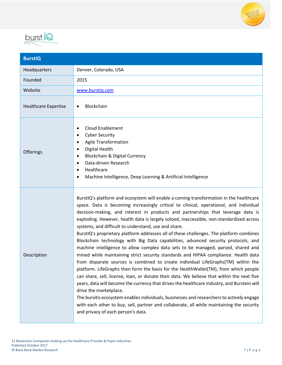



| <b>BurstIQ</b>              |                                                                                                                                                                                                                                                                                                                                                                                                                                                                                                                                                                                                                                                                                                                                                                                                                                                                                                                                                                                                                                                                                                                                                                                                                                                                                                                                                                                                                           |
|-----------------------------|---------------------------------------------------------------------------------------------------------------------------------------------------------------------------------------------------------------------------------------------------------------------------------------------------------------------------------------------------------------------------------------------------------------------------------------------------------------------------------------------------------------------------------------------------------------------------------------------------------------------------------------------------------------------------------------------------------------------------------------------------------------------------------------------------------------------------------------------------------------------------------------------------------------------------------------------------------------------------------------------------------------------------------------------------------------------------------------------------------------------------------------------------------------------------------------------------------------------------------------------------------------------------------------------------------------------------------------------------------------------------------------------------------------------------|
| Headquarters                | Denver, Colorado, USA                                                                                                                                                                                                                                                                                                                                                                                                                                                                                                                                                                                                                                                                                                                                                                                                                                                                                                                                                                                                                                                                                                                                                                                                                                                                                                                                                                                                     |
| Founded                     | 2015                                                                                                                                                                                                                                                                                                                                                                                                                                                                                                                                                                                                                                                                                                                                                                                                                                                                                                                                                                                                                                                                                                                                                                                                                                                                                                                                                                                                                      |
| Website                     | www.burstig.com                                                                                                                                                                                                                                                                                                                                                                                                                                                                                                                                                                                                                                                                                                                                                                                                                                                                                                                                                                                                                                                                                                                                                                                                                                                                                                                                                                                                           |
| <b>Healthcare Expertise</b> | Blockchain                                                                                                                                                                                                                                                                                                                                                                                                                                                                                                                                                                                                                                                                                                                                                                                                                                                                                                                                                                                                                                                                                                                                                                                                                                                                                                                                                                                                                |
| Offerings                   | <b>Cloud Enablement</b><br>$\bullet$<br><b>Cyber Security</b><br>$\bullet$<br><b>Agile Transformation</b><br>$\bullet$<br>Digital Health<br>$\bullet$<br>Blockchain & Digital Currency<br>$\bullet$<br>Data-driven Research<br>$\bullet$<br>Healthcare<br>$\bullet$<br>Machine Intelligence, Deep Learning & Artificial Intelligence<br>٠                                                                                                                                                                                                                                                                                                                                                                                                                                                                                                                                                                                                                                                                                                                                                                                                                                                                                                                                                                                                                                                                                 |
| Description                 | BurstIQ's platform and ecosystem will enable a coming transformation in the healthcare<br>space. Data is becoming increasingly critical to clinical, operational, and individual<br>decision-making, and interest in products and partnerships that leverage data is<br>exploding. However, health data is largely soloed, inaccessible, non-standardized across<br>systems, and difficult to understand, use and share.<br>BurstIQ's proprietary platform addresses all of these challenges. The platform combines<br>Blockchain technology with Big Data capabilities, advanced security protocols, and<br>machine intelligence to allow complex data sets to be managed, parsed, shared and<br>mined while maintaining strict security standards and HIPAA compliance. Health data<br>from disparate sources is combined to create individual LifeGraphs(TM) within the<br>platform. LifeGraphs then form the basis for the HealthWallet(TM), from which people<br>can share, sell, license, loan, or donate their data. We believe that within the next five<br>years, data will become the currency that drives the healthcare industry, and Burstein will<br>drive the marketplace.<br>The bursitis ecosystem enables individuals, businesses and researchers to actively engage<br>with each other to buy, sell, partner and collaborate, all while maintaining the security<br>and privacy of each person's data. |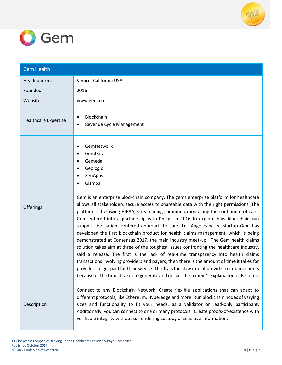



| <b>Gem Health</b>           |                                                                                                                                                                                                                                                                                                                                                                                                                                                                                                                                                                                                                                                                                                                                                                                                                                                                                                                                                                                                                                                                                                                                                                               |
|-----------------------------|-------------------------------------------------------------------------------------------------------------------------------------------------------------------------------------------------------------------------------------------------------------------------------------------------------------------------------------------------------------------------------------------------------------------------------------------------------------------------------------------------------------------------------------------------------------------------------------------------------------------------------------------------------------------------------------------------------------------------------------------------------------------------------------------------------------------------------------------------------------------------------------------------------------------------------------------------------------------------------------------------------------------------------------------------------------------------------------------------------------------------------------------------------------------------------|
| Headquarters                | Venice, California USA                                                                                                                                                                                                                                                                                                                                                                                                                                                                                                                                                                                                                                                                                                                                                                                                                                                                                                                                                                                                                                                                                                                                                        |
| Founded                     | 2016                                                                                                                                                                                                                                                                                                                                                                                                                                                                                                                                                                                                                                                                                                                                                                                                                                                                                                                                                                                                                                                                                                                                                                          |
| Website                     | www.gem.co                                                                                                                                                                                                                                                                                                                                                                                                                                                                                                                                                                                                                                                                                                                                                                                                                                                                                                                                                                                                                                                                                                                                                                    |
| <b>Healthcare Expertise</b> | Blockchain<br>Revenue Cycle Management                                                                                                                                                                                                                                                                                                                                                                                                                                                                                                                                                                                                                                                                                                                                                                                                                                                                                                                                                                                                                                                                                                                                        |
| Offerings                   | GemNetwork<br>GemData<br>Gemeda<br>Geologic<br>XenApps<br>Gismos<br>Gem is an enterprise blockchain company. The gems enterprise platform for healthcare<br>allows all stakeholders secure access to shareable data with the right permissions. The<br>platform is following HIPAA, streamlining communication along the continuum of care.<br>Gem entered into a partnership with Philips in 2016 to explore how blockchain can<br>support the patient-centered approach to care. Los Angeles-based startup Gem has<br>developed the first blockchain product for health claims management, which is being<br>demonstrated at Consensus 2017, the main industry meet-up. The Gem health claims<br>solution takes aim at three of the toughest issues confronting the healthcare industry,<br>said a release. The first is the lack of real-time transparency into health claims<br>transactions involving providers and payers; then there is the amount of time it takes for<br>providers to get paid for their service. Thirdly is the slow rate of provider reimbursements<br>because of the time it takes to generate and deliver the patient's Explanation of Benefits. |
| Description                 | Connect to any Blockchain Network: Create flexible applications that can adapt to<br>different protocols, like Ethereum, Hyperedge and more. Run blockchain nodes of varying<br>sizes and functionality to fit your needs, as a validator or read-only participant.<br>Additionally, you can connect to one or many protocols. Create proofs-of-existence with<br>verifiable integrity without surrendering custody of sensitive information.                                                                                                                                                                                                                                                                                                                                                                                                                                                                                                                                                                                                                                                                                                                                 |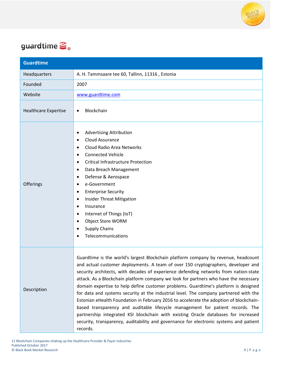

### guardtime  $\mathbf{S}_{\circ}$

| <b>Guardtime</b>            |                                                                                                                                                                                                                                                                                                                                                                                                                                                                                                                                                                                                                                                                                                                                                                                                                                                                                                                 |
|-----------------------------|-----------------------------------------------------------------------------------------------------------------------------------------------------------------------------------------------------------------------------------------------------------------------------------------------------------------------------------------------------------------------------------------------------------------------------------------------------------------------------------------------------------------------------------------------------------------------------------------------------------------------------------------------------------------------------------------------------------------------------------------------------------------------------------------------------------------------------------------------------------------------------------------------------------------|
| Headquarters                | A. H. Tammsaare tee 60, Tallinn, 11316, Estonia                                                                                                                                                                                                                                                                                                                                                                                                                                                                                                                                                                                                                                                                                                                                                                                                                                                                 |
| Founded                     | 2007                                                                                                                                                                                                                                                                                                                                                                                                                                                                                                                                                                                                                                                                                                                                                                                                                                                                                                            |
| Website                     | www.guardtime.com                                                                                                                                                                                                                                                                                                                                                                                                                                                                                                                                                                                                                                                                                                                                                                                                                                                                                               |
| <b>Healthcare Expertise</b> | Blockchain<br>$\bullet$                                                                                                                                                                                                                                                                                                                                                                                                                                                                                                                                                                                                                                                                                                                                                                                                                                                                                         |
| Offerings                   | <b>Advertising Attribution</b><br>٠<br><b>Cloud Assurance</b><br>$\bullet$<br>Cloud Radio Area Networks<br>٠<br><b>Connected Vehicle</b><br>٠<br><b>Critical Infrastructure Protection</b><br>٠<br>Data Breach Management<br>$\bullet$<br>Defense & Aerospace<br>$\bullet$<br>e-Government<br>٠<br><b>Enterprise Security</b><br>٠<br><b>Insider Threat Mitigation</b><br>٠<br>Insurance<br>٠<br>Internet of Things (IoT)<br>$\bullet$<br>Object Store WORM<br>$\bullet$<br><b>Supply Chains</b><br>$\bullet$<br>Telecommunications                                                                                                                                                                                                                                                                                                                                                                             |
| Description                 | Guardtime is the world's largest Blockchain platform company by revenue, headcount<br>and actual customer deployments. A team of over 150 cryptographers, developer and<br>security architects, with decades of experience defending networks from nation-state<br>attack. As a Blockchain platform company we look for partners who have the necessary<br>domain expertise to help define customer problems. Guardtime's platform is designed<br>for data and systems security at the industrial level. The company partnered with the<br>Estonian eHealth Foundation in February 2016 to accelerate the adoption of blockchain-<br>based transparency and auditable lifecycle management for patient records. The<br>partnership integrated KSI blockchain with existing Oracle databases for increased<br>security, transparency, auditability and governance for electronic systems and patient<br>records. |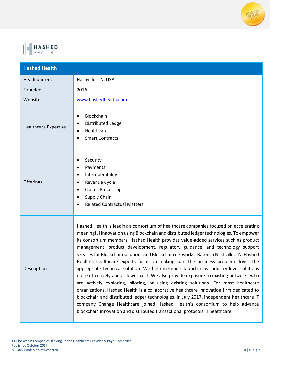



| <b>Hashed Health</b>        |                                                                                                                                                                                                                                                                                                                                                                                                                                                                                                                                                                                                                                                                                                                                                                                                                                                                                                                                                                                                                                                                                                                                                                    |
|-----------------------------|--------------------------------------------------------------------------------------------------------------------------------------------------------------------------------------------------------------------------------------------------------------------------------------------------------------------------------------------------------------------------------------------------------------------------------------------------------------------------------------------------------------------------------------------------------------------------------------------------------------------------------------------------------------------------------------------------------------------------------------------------------------------------------------------------------------------------------------------------------------------------------------------------------------------------------------------------------------------------------------------------------------------------------------------------------------------------------------------------------------------------------------------------------------------|
| Headquarters                | Nashville, TN, USA                                                                                                                                                                                                                                                                                                                                                                                                                                                                                                                                                                                                                                                                                                                                                                                                                                                                                                                                                                                                                                                                                                                                                 |
| Founded                     | 2016                                                                                                                                                                                                                                                                                                                                                                                                                                                                                                                                                                                                                                                                                                                                                                                                                                                                                                                                                                                                                                                                                                                                                               |
| Website                     | www.hashedhealth.com                                                                                                                                                                                                                                                                                                                                                                                                                                                                                                                                                                                                                                                                                                                                                                                                                                                                                                                                                                                                                                                                                                                                               |
| <b>Healthcare Expertise</b> | Blockchain<br>$\bullet$<br>Distributed Ledger<br>Healthcare<br>$\bullet$<br><b>Smart Contracts</b>                                                                                                                                                                                                                                                                                                                                                                                                                                                                                                                                                                                                                                                                                                                                                                                                                                                                                                                                                                                                                                                                 |
| Offerings                   | Security<br>Payments<br>Interoperability<br>Revenue Cycle<br>$\bullet$<br><b>Claims Processing</b><br>$\bullet$<br>Supply Chain<br><b>Related Contractual Matters</b>                                                                                                                                                                                                                                                                                                                                                                                                                                                                                                                                                                                                                                                                                                                                                                                                                                                                                                                                                                                              |
| Description                 | Hashed Health is leading a consortium of healthcare companies focused on accelerating<br>meaningful innovation using Blockchain and distributed ledger technologies. To empower<br>its consortium members, Hashed Health provides value-added services such as product<br>management, product development, regulatory guidance, and technology support<br>services for Blockchain solutions and Blockchain networks. Based in Nashville, TN, Hashed<br>Health's healthcare experts focus on making sure the business problem drives the<br>appropriate technical solution. We help members launch new industry level solutions<br>more effectively and at lower cost. We also provide exposure to existing networks who<br>are actively exploring, piloting, or using existing solutions. For most healthcare<br>organizations, Hashed Health is a collaborative healthcare innovation firm dedicated to<br>blockchain and distributed ledger technologies. In July 2017, independent healthcare IT<br>company Change Healthcare joined Hashed Health's consortium to help advance<br>blockchain innovation and distributed transactional protocols in healthcare. |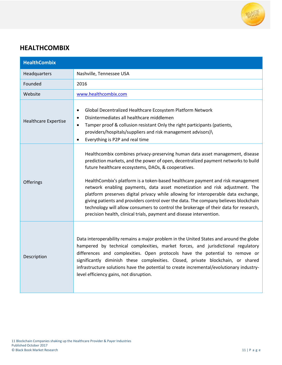

#### **HEALTHCOMBIX**

| <b>HealthCombix</b>         |                                                                                                                                                                                                                                                                                                                                                                                                                                                                                                                                                                                                                                                                                                                                            |
|-----------------------------|--------------------------------------------------------------------------------------------------------------------------------------------------------------------------------------------------------------------------------------------------------------------------------------------------------------------------------------------------------------------------------------------------------------------------------------------------------------------------------------------------------------------------------------------------------------------------------------------------------------------------------------------------------------------------------------------------------------------------------------------|
| Headquarters                | Nashville, Tennessee USA                                                                                                                                                                                                                                                                                                                                                                                                                                                                                                                                                                                                                                                                                                                   |
| Founded                     | 2016                                                                                                                                                                                                                                                                                                                                                                                                                                                                                                                                                                                                                                                                                                                                       |
| Website                     | www.healthcombix.com                                                                                                                                                                                                                                                                                                                                                                                                                                                                                                                                                                                                                                                                                                                       |
| <b>Healthcare Expertise</b> | Global Decentralized Healthcare Ecosystem Platform Network<br>$\bullet$<br>Disintermediates all healthcare middlemen<br>$\bullet$<br>Tamper proof & collusion resistant Only the right participants (patients,<br>$\bullet$<br>providers/hospitals/suppliers and risk management advisors)\<br>Everything is P2P and real time                                                                                                                                                                                                                                                                                                                                                                                                             |
| Offerings                   | Healthcombix combines privacy-preserving human data asset management, disease<br>prediction markets, and the power of open, decentralized payment networks to build<br>future healthcare ecosystems, DAOs, & cooperatives.<br>HealthCombix's platform is a token-based healthcare payment and risk management<br>network enabling payments, data asset monetization and risk adjustment. The<br>platform preserves digital privacy while allowing for interoperable data exchange,<br>giving patients and providers control over the data. The company believes blockchain<br>technology will allow consumers to control the brokerage of their data for research,<br>precision health, clinical trials, payment and disease intervention. |
| Description                 | Data interoperability remains a major problem in the United States and around the globe<br>hampered by technical complexities, market forces, and jurisdictional regulatory<br>differences and complexities. Open protocols have the potential to remove or<br>significantly diminish these complexities. Closed, private blockchain, or shared<br>infrastructure solutions have the potential to create incremental/evolutionary industry-<br>level efficiency gains, not disruption.                                                                                                                                                                                                                                                     |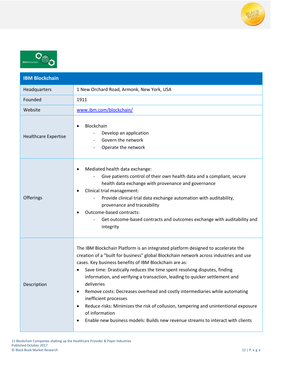



| <b>IBM Blockchain</b>       |                                                                                                                                                                                                                                                                                                                                                                                                                                                                                                                                                                                                                                                                                                                    |
|-----------------------------|--------------------------------------------------------------------------------------------------------------------------------------------------------------------------------------------------------------------------------------------------------------------------------------------------------------------------------------------------------------------------------------------------------------------------------------------------------------------------------------------------------------------------------------------------------------------------------------------------------------------------------------------------------------------------------------------------------------------|
| Headquarters                | 1 New Orchard Road, Armonk, New York, USA                                                                                                                                                                                                                                                                                                                                                                                                                                                                                                                                                                                                                                                                          |
| Founded                     | 1911                                                                                                                                                                                                                                                                                                                                                                                                                                                                                                                                                                                                                                                                                                               |
| Website                     | www.ibm.com/blockchain/                                                                                                                                                                                                                                                                                                                                                                                                                                                                                                                                                                                                                                                                                            |
| <b>Healthcare Expertise</b> | Blockchain<br>Develop an application<br>Govern the network<br>Operate the network                                                                                                                                                                                                                                                                                                                                                                                                                                                                                                                                                                                                                                  |
| Offerings                   | Mediated health data exchange:<br>Give patients control of their own health data and a compliant, secure<br>health data exchange with provenance and governance<br>Clinical trial management:<br>٠<br>Provide clinical trial data exchange automation with auditability,<br>provenance and traceability<br>Outcome-based contracts:<br>Get outcome-based contracts and outcomes exchange with auditability and<br>integrity                                                                                                                                                                                                                                                                                        |
| Description                 | The IBM Blockchain Platform is an integrated platform designed to accelerate the<br>creation of a "built for business" global Blockchain network across industries and use<br>cases. Key business benefits of IBM Blockchain are as:<br>Save time: Drastically reduces the time spent resolving disputes, finding<br>information, and verifying a transaction, leading to quicker settlement and<br>deliveries<br>Remove costs: Decreases overhead and costly intermediaries while automating<br>inefficient processes<br>Reduce risks: Minimizes the risk of collusion, tampering and unintentional exposure<br>of information<br>Enable new business models: Builds new revenue streams to interact with clients |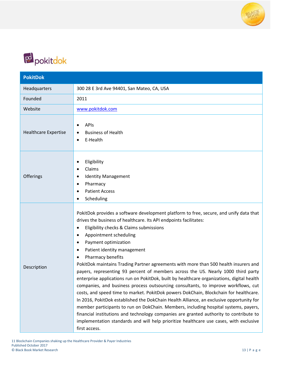



| <b>PokitDok</b>             |                                                                                                                                                                                                                                                                                                                                                                                                                                                                                                                                                                                                                                                                                                                                                                                                                                                                                                                                                                                                                                                                                                                                                                                                                     |
|-----------------------------|---------------------------------------------------------------------------------------------------------------------------------------------------------------------------------------------------------------------------------------------------------------------------------------------------------------------------------------------------------------------------------------------------------------------------------------------------------------------------------------------------------------------------------------------------------------------------------------------------------------------------------------------------------------------------------------------------------------------------------------------------------------------------------------------------------------------------------------------------------------------------------------------------------------------------------------------------------------------------------------------------------------------------------------------------------------------------------------------------------------------------------------------------------------------------------------------------------------------|
| Headquarters                | 300 28 E 3rd Ave 94401, San Mateo, CA, USA                                                                                                                                                                                                                                                                                                                                                                                                                                                                                                                                                                                                                                                                                                                                                                                                                                                                                                                                                                                                                                                                                                                                                                          |
| Founded                     | 2011                                                                                                                                                                                                                                                                                                                                                                                                                                                                                                                                                                                                                                                                                                                                                                                                                                                                                                                                                                                                                                                                                                                                                                                                                |
| Website                     | www.pokitdok.com                                                                                                                                                                                                                                                                                                                                                                                                                                                                                                                                                                                                                                                                                                                                                                                                                                                                                                                                                                                                                                                                                                                                                                                                    |
| <b>Healthcare Expertise</b> | <b>APIS</b><br><b>Business of Health</b><br>E-Health<br>$\bullet$                                                                                                                                                                                                                                                                                                                                                                                                                                                                                                                                                                                                                                                                                                                                                                                                                                                                                                                                                                                                                                                                                                                                                   |
| Offerings                   | Eligibility<br>٠<br>Claims<br>$\bullet$<br><b>Identity Management</b><br>$\bullet$<br>Pharmacy<br>$\bullet$<br><b>Patient Access</b><br>Scheduling                                                                                                                                                                                                                                                                                                                                                                                                                                                                                                                                                                                                                                                                                                                                                                                                                                                                                                                                                                                                                                                                  |
| Description                 | PokitDok provides a software development platform to free, secure, and unify data that<br>drives the business of healthcare. Its API endpoints facilitates:<br>Eligibility checks & Claims submissions<br>$\bullet$<br>Appointment scheduling<br>$\bullet$<br>Payment optimization<br>$\bullet$<br>Patient identity management<br>$\bullet$<br>Pharmacy benefits<br>PokitDok maintains Trading Partner agreements with more than 500 health insurers and<br>payers, representing 93 percent of members across the US. Nearly 1000 third party<br>enterprise applications run on PokitDok, built by healthcare organizations, digital health<br>companies, and business process outsourcing consultants, to improve workflows, cut<br>costs, and speed time to market. PokitDok powers DokChain, Blockchain for healthcare.<br>In 2016, PokitDok established the DokChain Health Alliance, an exclusive opportunity for<br>member participants to run on DokChain. Members, including hospital systems, payers,<br>financial institutions and technology companies are granted authority to contribute to<br>implementation standards and will help prioritize healthcare use cases, with exclusive<br>first access. |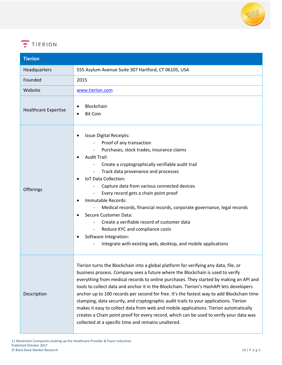

### $T$  TIERION

| <b>Tierion</b>              |                                                                                                                                                                                                                                                                                                                                                                                                                                                                                                                                                                                                                                                                                                                                                                                               |
|-----------------------------|-----------------------------------------------------------------------------------------------------------------------------------------------------------------------------------------------------------------------------------------------------------------------------------------------------------------------------------------------------------------------------------------------------------------------------------------------------------------------------------------------------------------------------------------------------------------------------------------------------------------------------------------------------------------------------------------------------------------------------------------------------------------------------------------------|
| Headquarters                | 555 Asylum Avenue Suite 307 Hartford, CT 06105, USA                                                                                                                                                                                                                                                                                                                                                                                                                                                                                                                                                                                                                                                                                                                                           |
| Founded                     | 2015                                                                                                                                                                                                                                                                                                                                                                                                                                                                                                                                                                                                                                                                                                                                                                                          |
| Website                     | www.tierion.com                                                                                                                                                                                                                                                                                                                                                                                                                                                                                                                                                                                                                                                                                                                                                                               |
| <b>Healthcare Expertise</b> | Blockchain<br><b>Bit Coin</b>                                                                                                                                                                                                                                                                                                                                                                                                                                                                                                                                                                                                                                                                                                                                                                 |
| Offerings                   | <b>Issue Digital Receipts:</b><br>Proof of any transaction<br>Purchases, stock trades, insurance claims<br><b>Audit Trail:</b><br>Create a cryptographically verifiable audit trail<br>Track data provenance and processes<br>$\overline{\phantom{a}}$<br>IoT Data Collection:<br>Capture data from various connected devices<br>Every record gets a chain point proof<br>Immutable Records:<br>Medical records, financial records, corporate governance, legal records<br><b>Secure Customer Data:</b><br>Create a verifiable record of customer data<br>Reduce KYC and compliance costs<br>Software Integration:<br>Integrate with existing web, desktop, and mobile applications                                                                                                           |
| Description                 | Tierion turns the Blockchain into a global platform for verifying any data, file, or<br>business process. Company sees a future where the Blockchain is used to verify<br>everything from medical records to online purchases. They started by making an API and<br>tools to collect data and anchor it in the Blockchain. Tierion's HashAPI lets developers<br>anchor up to 100 records per second for free. It's the fastest way to add Blockchain time<br>stamping, data security, and cryptographic audit trails to your applications. Tierion<br>makes it easy to collect data from web and mobile applications. Tierion automatically<br>creates a Chain point proof for every record, which can be used to verify your data was<br>collected at a specific time and remains unaltered. |